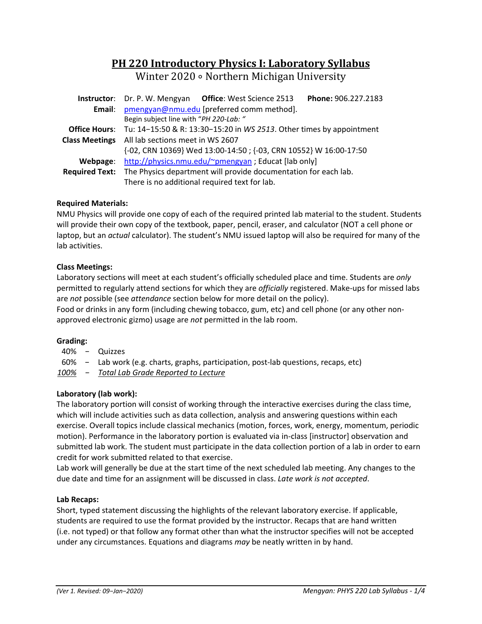# **PH 220 Introductory Physics I: Laboratory Syllabus** Winter 2020 ∘ Northern Michigan University

|                       | Phone: 906.227.2183<br><b>Instructor:</b> Dr. P. W. Mengyan Office: West Science 2513     |  |  |  |  |  |  |  |
|-----------------------|-------------------------------------------------------------------------------------------|--|--|--|--|--|--|--|
| Email:                | pmengyan@nmu.edu [preferred comm method].                                                 |  |  |  |  |  |  |  |
|                       | Begin subject line with "PH 220-Lab: "                                                    |  |  |  |  |  |  |  |
|                       | <b>Office Hours:</b> Tu: 14-15:50 & R: 13:30-15:20 in WS 2513. Other times by appointment |  |  |  |  |  |  |  |
| <b>Class Meetings</b> | All lab sections meet in WS 2607                                                          |  |  |  |  |  |  |  |
|                       | {-02, CRN 10369} Wed 13:00-14:50 ; {-03, CRN 10552} W 16:00-17:50                         |  |  |  |  |  |  |  |
| Webpage:              | http://physics.nmu.edu/~pmengyan ; Educat [lab only]                                      |  |  |  |  |  |  |  |
|                       | Required Text: The Physics department will provide documentation for each lab.            |  |  |  |  |  |  |  |
|                       | There is no additional required text for lab.                                             |  |  |  |  |  |  |  |

## **Required Materials:**

NMU Physics will provide one copy of each of the required printed lab material to the student. Students will provide their own copy of the textbook, paper, pencil, eraser, and calculator (NOT a cell phone or laptop, but an *actual* calculator). The student's NMU issued laptop will also be required for many of the lab activities.

## **Class Meetings:**

Laboratory sections will meet at each student's officially scheduled place and time. Students are *only* permitted to regularly attend sections for which they are *officially* registered. Make-ups for missed labs are *not* possible (see *attendance* section below for more detail on the policy).

Food or drinks in any form (including chewing tobacco, gum, etc) and cell phone (or any other non‐ approved electronic gizmo) usage are *not* permitted in the lab room.

#### **Grading:**

- 40% − Quizzes
- 60% − Lab work (e.g. charts, graphs, participation, post‐lab questions, recaps, etc)

*100% − Total Lab Grade Reported to Lecture* 

# **Laboratory (lab work):**

The laboratory portion will consist of working through the interactive exercises during the class time, which will include activities such as data collection, analysis and answering questions within each exercise. Overall topics include classical mechanics (motion, forces, work, energy, momentum, periodic motion). Performance in the laboratory portion is evaluated via in‐class [instructor] observation and submitted lab work. The student must participate in the data collection portion of a lab in order to earn credit for work submitted related to that exercise.

Lab work will generally be due at the start time of the next scheduled lab meeting. Any changes to the due date and time for an assignment will be discussed in class. *Late work is not accepted*.

#### **Lab Recaps:**

Short, typed statement discussing the highlights of the relevant laboratory exercise. If applicable, students are required to use the format provided by the instructor. Recaps that are hand written (i.e. not typed) or that follow any format other than what the instructor specifies will not be accepted under any circumstances. Equations and diagrams *may* be neatly written in by hand.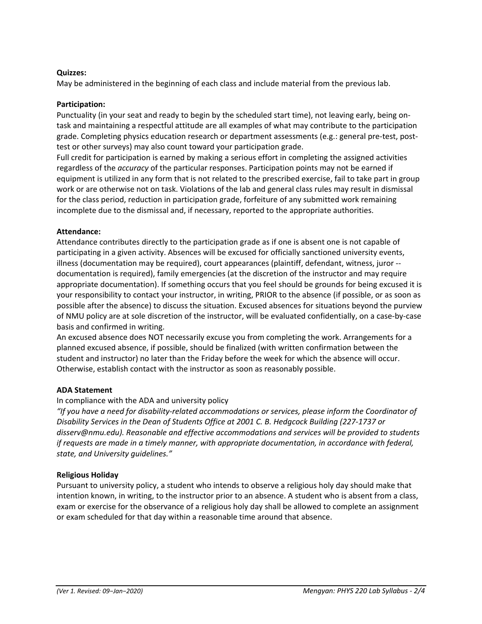## **Quizzes:**

May be administered in the beginning of each class and include material from the previous lab.

#### **Participation:**

Punctuality (in your seat and ready to begin by the scheduled start time), not leaving early, being on‐ task and maintaining a respectful attitude are all examples of what may contribute to the participation grade. Completing physics education research or department assessments (e.g.: general pre-test, posttest or other surveys) may also count toward your participation grade.

Full credit for participation is earned by making a serious effort in completing the assigned activities regardless of the *accuracy* of the particular responses. Participation points may not be earned if equipment is utilized in any form that is not related to the prescribed exercise, fail to take part in group work or are otherwise not on task. Violations of the lab and general class rules may result in dismissal for the class period, reduction in participation grade, forfeiture of any submitted work remaining incomplete due to the dismissal and, if necessary, reported to the appropriate authorities.

## **Attendance:**

Attendance contributes directly to the participation grade as if one is absent one is not capable of participating in a given activity. Absences will be excused for officially sanctioned university events, illness (documentation may be required), court appearances (plaintiff, defendant, witness, juror ‐‐ documentation is required), family emergencies (at the discretion of the instructor and may require appropriate documentation). If something occurs that you feel should be grounds for being excused it is your responsibility to contact your instructor, in writing, PRIOR to the absence (if possible, or as soon as possible after the absence) to discuss the situation. Excused absences for situations beyond the purview of NMU policy are at sole discretion of the instructor, will be evaluated confidentially, on a case‐by‐case basis and confirmed in writing.

An excused absence does NOT necessarily excuse you from completing the work. Arrangements for a planned excused absence, if possible, should be finalized (with written confirmation between the student and instructor) no later than the Friday before the week for which the absence will occur. Otherwise, establish contact with the instructor as soon as reasonably possible.

# **ADA Statement**

#### In compliance with the ADA and university policy

*"If you have a need for disability‐related accommodations or services, please inform the Coordinator of Disability Services in the Dean of Students Office at 2001 C. B. Hedgcock Building (227‐1737 or disserv@nmu.edu). Reasonable and effective accommodations and services will be provided to students if requests are made in a timely manner, with appropriate documentation, in accordance with federal, state, and University guidelines."* 

# **Religious Holiday**

Pursuant to university policy, a student who intends to observe a religious holy day should make that intention known, in writing, to the instructor prior to an absence. A student who is absent from a class, exam or exercise for the observance of a religious holy day shall be allowed to complete an assignment or exam scheduled for that day within a reasonable time around that absence.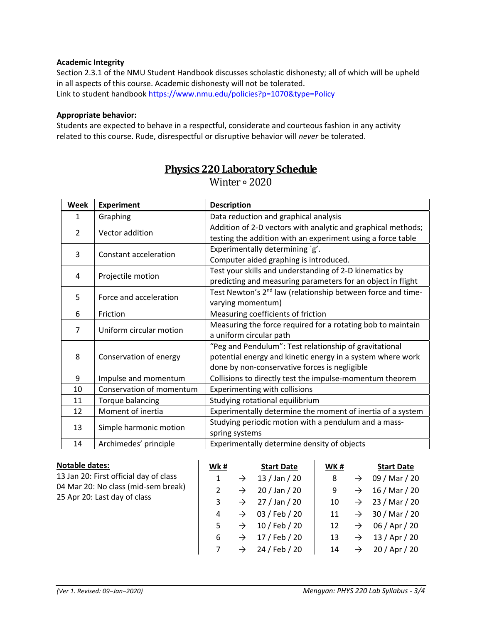#### **Academic Integrity**

Section 2.3.1 of the NMU Student Handbook discusses scholastic dishonesty; all of which will be upheld in all aspects of this course. Academic dishonesty will not be tolerated. Link to student handbook https://www.nmu.edu/policies?p=1070&type=Policy

#### **Appropriate behavior:**

Students are expected to behave in a respectful, considerate and courteous fashion in any activity related to this course. Rude, disrespectful or disruptive behavior will *never* be tolerated.

| <b>Week</b>    | <b>Experiment</b>                                                                | <b>Description</b>                                                                                                                                                    |  |  |  |  |
|----------------|----------------------------------------------------------------------------------|-----------------------------------------------------------------------------------------------------------------------------------------------------------------------|--|--|--|--|
| 1              | Graphing                                                                         | Data reduction and graphical analysis                                                                                                                                 |  |  |  |  |
| $\mathcal{P}$  | Vector addition                                                                  | Addition of 2-D vectors with analytic and graphical methods;<br>testing the addition with an experiment using a force table                                           |  |  |  |  |
| 3              | Constant acceleration                                                            | Experimentally determining `g'.<br>Computer aided graphing is introduced.                                                                                             |  |  |  |  |
| 4              | Projectile motion                                                                | Test your skills and understanding of 2-D kinematics by<br>predicting and measuring parameters for an object in flight                                                |  |  |  |  |
| 5              | Force and acceleration                                                           | Test Newton's 2 <sup>nd</sup> law (relationship between force and time-<br>varying momentum)                                                                          |  |  |  |  |
| 6              | Friction                                                                         | Measuring coefficients of friction                                                                                                                                    |  |  |  |  |
| $\overline{7}$ | Uniform circular motion                                                          | Measuring the force required for a rotating bob to maintain<br>a uniform circular path                                                                                |  |  |  |  |
| 8              | Conservation of energy                                                           | "Peg and Pendulum": Test relationship of gravitational<br>potential energy and kinetic energy in a system where work<br>done by non-conservative forces is negligible |  |  |  |  |
| 9              | Collisions to directly test the impulse-momentum theorem<br>Impulse and momentum |                                                                                                                                                                       |  |  |  |  |
| 10             | Conservation of momentum                                                         | Experimenting with collisions                                                                                                                                         |  |  |  |  |
| 11             | Torque balancing                                                                 | Studying rotational equilibrium                                                                                                                                       |  |  |  |  |
| 12             | Moment of inertia                                                                | Experimentally determine the moment of inertia of a system                                                                                                            |  |  |  |  |
| 13             | Simple harmonic motion                                                           | Studying periodic motion with a pendulum and a mass-<br>spring systems                                                                                                |  |  |  |  |
| 14             | Archimedes' principle<br>Experimentally determine density of objects             |                                                                                                                                                                       |  |  |  |  |

# **Physics 220 Laboratory Schedule**

Winter ∘ 2020

| <b>Notable dates:</b>                  | Wk# |               | <b>Start Date</b> | WK# |               | <b>Start Date</b> |
|----------------------------------------|-----|---------------|-------------------|-----|---------------|-------------------|
| 13 Jan 20: First official day of class | 1   | $\rightarrow$ | $13$ / Jan / 20   | 8   | $\rightarrow$ | 09 / Mar / 20     |
| 04 Mar 20: No class (mid-sem break)    |     | $\rightarrow$ | $20$ / Jan / 20   | 9   | $\rightarrow$ | 16 / Mar / 20     |
| 25 Apr 20: Last day of class           | 3   | $\rightarrow$ | 27 / Jan / 20     | 10  | $\rightarrow$ | 23 / Mar / 20     |
|                                        | 4   | $\rightarrow$ | 03 / Feb / 20     | 11  | $\rightarrow$ | 30 / Mar / 20     |
|                                        | 5   | $\rightarrow$ | 10 / Feb / 20     | 12  | $\rightarrow$ | 06 / Apr / 20     |
|                                        | 6   | $\rightarrow$ | 17 / Feb / 20     | 13  | $\rightarrow$ | 13 / Apr / 20     |
|                                        |     | $\rightarrow$ | 24 / Feb / 20     | 14  | $\rightarrow$ | 20 / Apr / 20     |